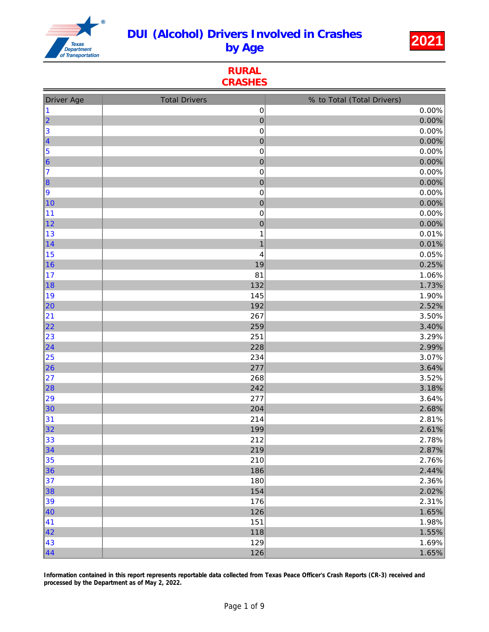

RURAL **CRASHES** 

| <b>Driver Age</b> | <b>Total Drivers</b>    | % to Total (Total Drivers) |
|-------------------|-------------------------|----------------------------|
| $\vert$ 1         | $\pmb{0}$               | 0.00%                      |
| 2                 | $\pmb{0}$               | 0.00%                      |
| 3                 | $\pmb{0}$               | 0.00%                      |
| $\vert$ 4         | $\pmb{0}$               | 0.00%                      |
| 5                 | $\mathsf 0$             | 0.00%                      |
| $\vert$ 6         | $\pmb{0}$               | 0.00%                      |
| 17                | 0                       | 0.00%                      |
| $\vert$ 8         | $\mathbf 0$             | 0.00%                      |
| 9                 | $\pmb{0}$               | 0.00%                      |
| 10                | $\mathbf 0$             | 0.00%                      |
| 11                | 0                       | 0.00%                      |
| $\vert$ 12        | $\mathbf 0$             | 0.00%                      |
| 13                | $\mathbf 1$             | 0.01%                      |
| $\vert$ 14        | $\overline{\mathbf{1}}$ | 0.01%                      |
| 15                | 4                       | 0.05%                      |
| ∥16               | 19                      | 0.25%                      |
| 17                | 81                      | 1.06%                      |
| ∥18               | 132                     | 1.73%                      |
| 19                | 145                     | 1.90%                      |
| 20                | 192                     | 2.52%                      |
| 21                | 267                     | 3.50%                      |
| 22                | 259                     | 3.40%                      |
| 23                | 251                     | 3.29%                      |
| 24                | 228                     | 2.99%                      |
| 25                | 234                     | 3.07%                      |
| 26                | 277                     | 3.64%                      |
| 27                | 268                     | 3.52%                      |
| $\vert$ 28        | 242                     | 3.18%                      |
| 29                | 277                     | 3.64%                      |
| 30                | 204                     | 2.68%                      |
| 31                | 214                     | 2.81%                      |
| 32                | 199                     | 2.61%                      |
| 33                | 212                     | 2.78%                      |
| $\vert$ 34        | 219                     | 2.87%                      |
| 35                | 210                     | 2.76%                      |
| 36                | 186                     | 2.44%                      |
| 37                | 180                     | 2.36%                      |
| 38                | 154                     | 2.02%                      |
| 39                | 176                     | 2.31%                      |
| 40                | 126                     | 1.65%                      |
| 41                | 151                     | 1.98%                      |
| 42                | 118                     | 1.55%                      |
| 43                | 129                     | 1.69%                      |
| 44                | 126                     | 1.65%                      |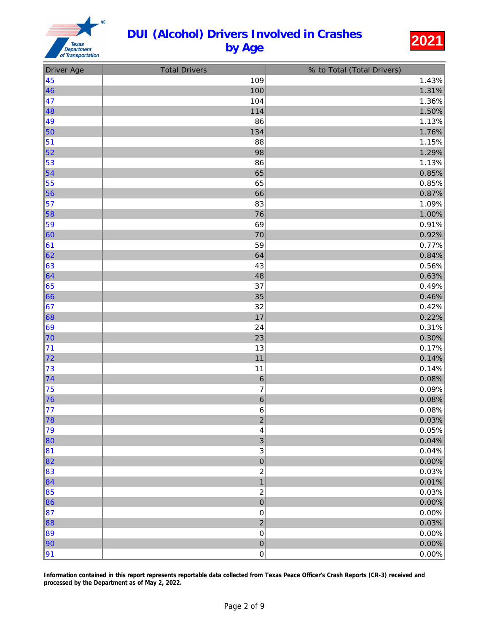

| <b>Driver Age</b> | <b>Total Drivers</b>    | % to Total (Total Drivers) |
|-------------------|-------------------------|----------------------------|
| 45                | 109                     | 1.43%                      |
| 46                | 100                     | 1.31%                      |
| 47                | 104                     | 1.36%                      |
| ∥48               | 114                     | 1.50%                      |
| 49                | 86                      | 1.13%                      |
| $\vert$ 50        | 134                     | 1.76%                      |
| 51                | 88                      | 1.15%                      |
| $\vert$ 52        | 98                      | 1.29%                      |
| 53                | 86                      | 1.13%                      |
| $\vert$ 54        | 65                      | 0.85%                      |
| 55                | 65                      | 0.85%                      |
| $\vert$ 56        | 66                      | 0.87%                      |
| 57                | 83                      | 1.09%                      |
| $\vert$ 58        | 76                      | 1.00%                      |
| 59                | 69                      | 0.91%                      |
| $\vert$ 60        | 70                      | 0.92%                      |
| 61                | 59                      | 0.77%                      |
| 62                | 64                      | 0.84%                      |
| 63                | 43                      | 0.56%                      |
| 64                | 48                      | 0.63%                      |
| 65                | 37                      | 0.49%                      |
| $\vert 66$        | 35                      | 0.46%                      |
| 67                | 32                      | 0.42%                      |
| 68                | 17                      | 0.22%                      |
| 69                | 24                      | 0.31%                      |
| 70                | 23                      | 0.30%                      |
| 71                | 13                      | 0.17%                      |
| 72                | 11                      | 0.14%                      |
| 73                | 11                      | 0.14%                      |
| 74                | $\,6\,$                 | 0.08%                      |
| 75                | $\boldsymbol{7}$        | 0.09%                      |
| $\vert$ 76        | $\,$ 6 $\,$             | 0.08%                      |
| 77                | $\,6$                   | 0.08%                      |
| 78                | $\overline{2}$          | 0.03%                      |
| 79                | 4                       | 0.05%                      |
| 80                | 3                       | 0.04%                      |
| 81                | 3                       | 0.04%                      |
| 82                | $\mathbf 0$             | 0.00%                      |
| 83                | $\overline{\mathbf{c}}$ | 0.03%                      |
| $\vert$ 84        | $\overline{1}$          | 0.01%                      |
| 85                | $\overline{\mathbf{c}}$ | 0.03%                      |
| 86∥               | $\mathbf 0$             | 0.00%                      |
| 87                | $\mathbf 0$             | 0.00%                      |
| 88∥               | $\overline{a}$          | 0.03%                      |
| 89                | $\mathbf 0$             | 0.00%                      |
| 90                | $\mathbf 0$             | 0.00%                      |
| 91                | 0                       | 0.00%                      |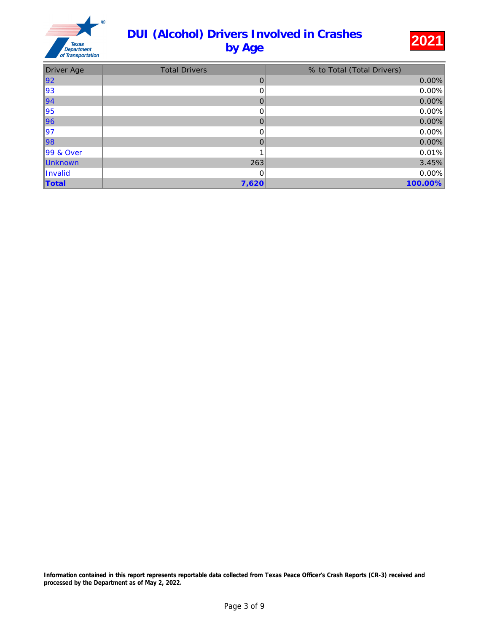

| <b>Driver Age</b> | <b>Total Drivers</b> | % to Total (Total Drivers) |
|-------------------|----------------------|----------------------------|
| ∥92               | 0                    | 0.00%                      |
| 93                | 0                    | 0.00%                      |
| $\vert$ 94        | 0                    | 0.00%                      |
| 95                | 0                    | 0.00%                      |
| ∥96               | 0                    | 0.00%                      |
| ∥97               | 0                    | 0.00%                      |
| ∥98               | 0                    | 0.00%                      |
| 99 & Over         |                      | 0.01%                      |
| Unknown           | 263                  | 3.45%                      |
| Invalid           | 0                    | 0.00%                      |
| <b>Total</b>      | 7,620                | 100.00%                    |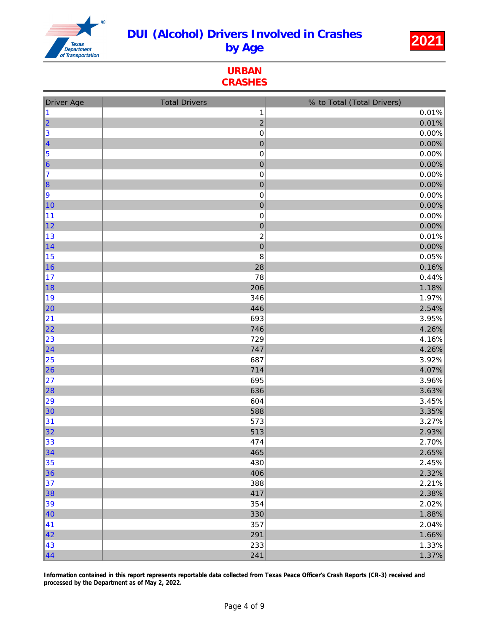

URBAN **CRASHES** 

| <b>Driver Age</b> | <b>Total Drivers</b>    | % to Total (Total Drivers) |
|-------------------|-------------------------|----------------------------|
| $\vert$ 1         | 1                       | 0.01%                      |
| 2                 | $\overline{c}$          | 0.01%                      |
| 3                 | $\pmb{0}$               | 0.00%                      |
| $\vert$ 4         | $\pmb{0}$               | 0.00%                      |
| 5                 | $\pmb{0}$               | 0.00%                      |
| $\vert 6 \vert$   | $\pmb{0}$               | 0.00%                      |
| 17                | $\pmb{0}$               | 0.00%                      |
| $\vert$ 8         | $\mathbf{0}$            | 0.00%                      |
| 9                 | 0                       | 0.00%                      |
| 10                | $\mathbf 0$             | 0.00%                      |
| 11                | $\pmb{0}$               | 0.00%                      |
| $\vert$ 12        | $\mathbf{0}$            | 0.00%                      |
| 13                | $\overline{\mathbf{c}}$ | 0.01%                      |
| $\vert$ 14        | $\pmb{0}$               | 0.00%                      |
| 15                | $\bf 8$                 | 0.05%                      |
| ∥16               | 28                      | 0.16%                      |
| 17                | 78                      | 0.44%                      |
| ∥18               | 206                     | 1.18%                      |
| ∥19               | 346                     | 1.97%                      |
| 20                | 446                     | 2.54%                      |
| 21                | 693                     | 3.95%                      |
| 22                | 746                     | 4.26%                      |
| 23                | 729                     | 4.16%                      |
| 24                | 747                     | 4.26%                      |
| 25                | 687                     | 3.92%                      |
| 26                | 714                     | 4.07%                      |
| 27                | 695                     | 3.96%                      |
| 28                | 636                     | 3.63%                      |
| 29                | 604                     | 3.45%                      |
| 30                | 588                     | 3.35%                      |
| 31                | 573                     | 3.27%                      |
| 32                | 513                     | 2.93%                      |
| 33                | 474                     | 2.70%                      |
| 34                | 465                     | 2.65%                      |
| 35                | 430                     | 2.45%                      |
| 36                | 406                     | 2.32%                      |
| 37                | 388                     | 2.21%                      |
| 38                | 417                     | 2.38%                      |
| 39                | 354                     | 2.02%                      |
| 40                | 330                     | 1.88%                      |
| 41                | 357                     | 2.04%                      |
| 42                | 291                     | 1.66%                      |
| 43                | 233                     | 1.33%                      |
| $\vert 44$        | 241                     | 1.37%                      |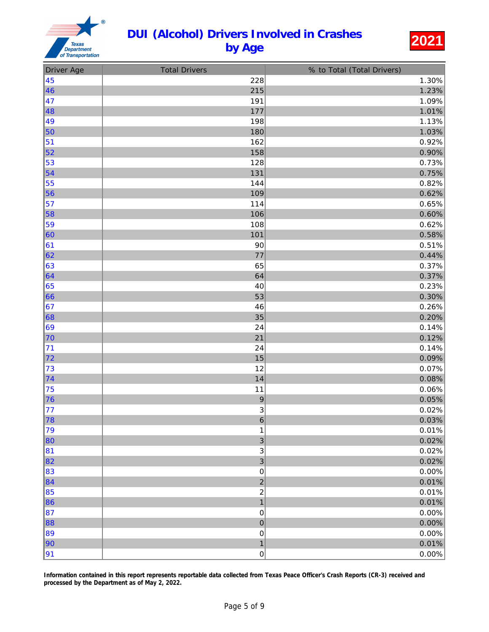

| <b>Driver Age</b> | <b>Total Drivers</b>      | % to Total (Total Drivers) |
|-------------------|---------------------------|----------------------------|
| 45                | 228                       | 1.30%                      |
| 46                | 215                       | 1.23%                      |
| 47                | 191                       | 1.09%                      |
| 48                | 177                       | 1.01%                      |
| 49                | 198                       | 1.13%                      |
| 50                | 180                       | 1.03%                      |
| 51                | 162                       | 0.92%                      |
| 52                | 158                       | 0.90%                      |
| 53                | 128                       | 0.73%                      |
| 54                | 131                       | 0.75%                      |
| 55                | 144                       | 0.82%                      |
| 56                | 109                       | 0.62%                      |
| 57                | 114                       | 0.65%                      |
| 58                | 106                       | 0.60%                      |
| 59                | 108                       | 0.62%                      |
| 60                | 101                       | 0.58%                      |
| 61                | 90                        | 0.51%                      |
| 62                | 77                        | 0.44%                      |
| 63                | 65                        | 0.37%                      |
| 64                | 64                        | 0.37%                      |
| 65                | 40                        | 0.23%                      |
| 66                | 53                        | 0.30%                      |
| 67                | 46                        | 0.26%                      |
| 68                | 35                        | 0.20%                      |
| 69                | 24                        | 0.14%                      |
| 70                | 21                        | 0.12%                      |
| 71                | 24                        | 0.14%                      |
| 72                | 15                        | 0.09%                      |
| 73                | 12                        | 0.07%                      |
| 74                | 14                        | 0.08%                      |
| 75                | 11                        | 0.06%                      |
| 76                | $\overline{9}$            | 0.05%                      |
| 77                | $\ensuremath{\mathsf{3}}$ | 0.02%                      |
| 78                | $\overline{6}$            | 0.03%                      |
| 79                | 1                         | 0.01%                      |
| 80                | $\mathbf{3}$              | 0.02%                      |
| 81                | 3                         | 0.02%                      |
| 82                | 3                         | 0.02%                      |
| 83                | $\pmb{0}$                 | 0.00%                      |
| 84                | $\overline{c}$            | 0.01%                      |
| 85                | $\boldsymbol{2}$          | 0.01%                      |
| 86                | $\mathbf{1}$              | 0.01%                      |
| 87                | $\pmb{0}$                 | 0.00%                      |
| 88                | $\pmb{0}$                 | 0.00%                      |
| 89                | $\pmb{0}$                 | 0.00%                      |
| 90                | $\mathbf{1}$              | 0.01%                      |
| 91                | 0                         | 0.00%                      |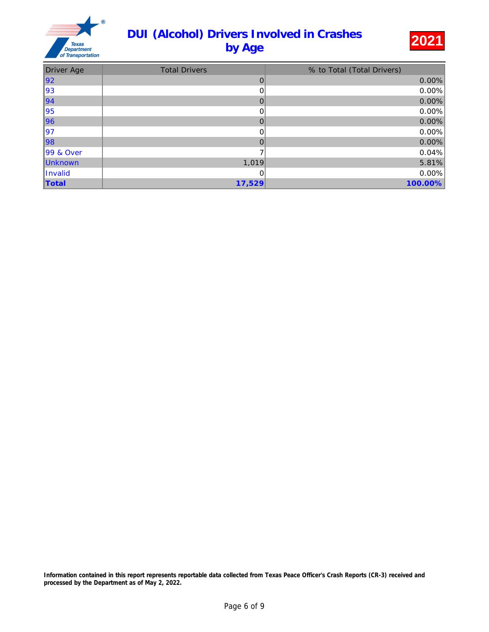

| <b>Driver Age</b> | <b>Total Drivers</b> | % to Total (Total Drivers) |
|-------------------|----------------------|----------------------------|
| 92                | 0                    | $0.00\%$                   |
| 93                | 0                    | 0.00%                      |
| $\vert$ 94        | 0                    | 0.00%                      |
| 95                | 0                    | 0.00%                      |
| ∥96               | 0                    | 0.00%                      |
| ∥97               | 0                    | 0.00%                      |
| ∥98               | 0                    | 0.00%                      |
| 99 & Over         |                      | 0.04%                      |
| Unknown           | 1,019                | 5.81%                      |
| Invalid           | 0                    | 0.00%                      |
| Total             | 17,529               | 100.00%                    |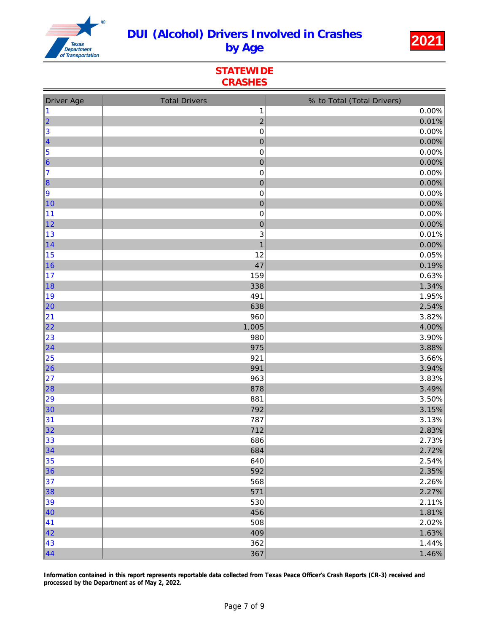

**STATEWIDE** CRASHES

| <b>Driver Age</b> | <b>Total Drivers</b> | % to Total (Total Drivers) |
|-------------------|----------------------|----------------------------|
| $\vert$ 1         | $\mathbf 1$          | 0.00%                      |
| 2                 | $\overline{c}$       | 0.01%                      |
| 3                 | $\pmb{0}$            | 0.00%                      |
| $\vert$ 4         | $\boldsymbol{0}$     | 0.00%                      |
| 5                 | $\pmb{0}$            | 0.00%                      |
| $\vert 6 \vert$   | $\pmb{0}$            | 0.00%                      |
| 17                | $\pmb{0}$            | 0.00%                      |
| $\vert$ 8         | $\boldsymbol{0}$     | 0.00%                      |
| 9                 | 0                    | 0.00%                      |
| 10                | $\mathbf 0$          | 0.00%                      |
| 11                | $\pmb{0}$            | 0.00%                      |
| 12                | $\mathbf{0}$         | 0.00%                      |
| 13                | 3                    | 0.01%                      |
| $\vert$ 14        | $\mathbf{1}$         | 0.00%                      |
| 15                | 12                   | 0.05%                      |
| ∥16               | 47                   | 0.19%                      |
| 17                | 159                  | 0.63%                      |
| ∥18               | 338                  | 1.34%                      |
| ∥19               | 491                  | 1.95%                      |
| 20                | 638                  | 2.54%                      |
| 21                | 960                  | 3.82%                      |
| 22                | 1,005                | 4.00%                      |
| 23                | 980                  | 3.90%                      |
| 24                | 975                  | 3.88%                      |
| 25                | 921                  | 3.66%                      |
| $\vert$ 26        | 991                  | 3.94%                      |
| 27                | 963                  | 3.83%                      |
| 28                | 878                  | 3.49%                      |
| 29                | 881                  | 3.50%                      |
| 30                | 792                  | 3.15%                      |
| 31                | 787                  | 3.13%                      |
| 32                | 712                  | 2.83%                      |
| 33                | 686                  | 2.73%                      |
| 34                | 684                  | 2.72%                      |
| 35                | 640                  | 2.54%                      |
| 36                | 592                  | 2.35%                      |
| 37                | 568                  | 2.26%                      |
| $\vert$ 38        | 571                  | 2.27%                      |
| 39                | 530                  | 2.11%                      |
| 40                | 456                  | 1.81%                      |
| 41                | 508                  | 2.02%                      |
| 42                | 409                  | 1.63%                      |
| 43                | 362                  | 1.44%                      |
| $\vert 44$        | 367                  | 1.46%                      |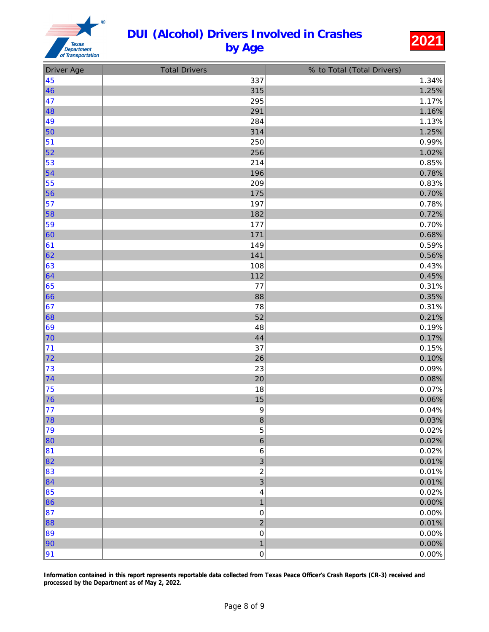

| <b>Driver Age</b> | <b>Total Drivers</b>    | % to Total (Total Drivers) |
|-------------------|-------------------------|----------------------------|
| 45                | 337                     | 1.34%                      |
| 46                | 315                     | 1.25%                      |
| 47                | 295                     | 1.17%                      |
| ∥48               | 291                     | 1.16%                      |
| ∥49               | 284                     | 1.13%                      |
| 50                | 314                     | 1.25%                      |
| 51                | 250                     | 0.99%                      |
| $\vert$ 52        | 256                     | 1.02%                      |
| 53                | 214                     | 0.85%                      |
| $\vert$ 54        | 196                     | 0.78%                      |
| 55                | 209                     | 0.83%                      |
| $\vert$ 56        | 175                     | 0.70%                      |
| 57                | 197                     | 0.78%                      |
| 58                | 182                     | 0.72%                      |
| 59                | 177                     | 0.70%                      |
| $\vert$ 60        | 171                     | 0.68%                      |
| 61                | 149                     | 0.59%                      |
| 62                | 141                     | 0.56%                      |
| 63                | 108                     | 0.43%                      |
| 64                | 112                     | 0.45%                      |
| 65                | 77                      | 0.31%                      |
| 66                | 88                      | 0.35%                      |
| 67                | 78                      | 0.31%                      |
| 68                | 52                      | 0.21%                      |
| 69                | 48                      | 0.19%                      |
| 70                | 44                      | 0.17%                      |
| 71                | 37                      | 0.15%                      |
| 72                | 26                      | 0.10%                      |
| 73                | 23                      | 0.09%                      |
| $\vert$ 74        | 20                      | 0.08%                      |
| 75                | 18                      | 0.07%                      |
| 76                | 15                      | 0.06%                      |
| 77                | $\boldsymbol{9}$        | 0.04%                      |
| 78                | $\bf{8}$                | 0.03%                      |
| 79                | 5                       | 0.02%                      |
| 80                | 6                       | 0.02%                      |
| 81                | $\,6$                   | 0.02%                      |
| 82                | 3                       | 0.01%                      |
| 83                | $\overline{\mathbf{c}}$ | 0.01%                      |
| 84                | 3                       | 0.01%                      |
| 85                | 4                       | 0.02%                      |
| $\ 86$            | $\mathbf{1}$            | 0.00%                      |
| 87                | $\pmb{0}$               | 0.00%                      |
| 88                | $\overline{2}$          | 0.01%                      |
| 89                | $\mathbf 0$             | 0.00%                      |
| 90                | $\overline{\mathbf{1}}$ | 0.00%                      |
| 91                | 0                       | 0.00%                      |